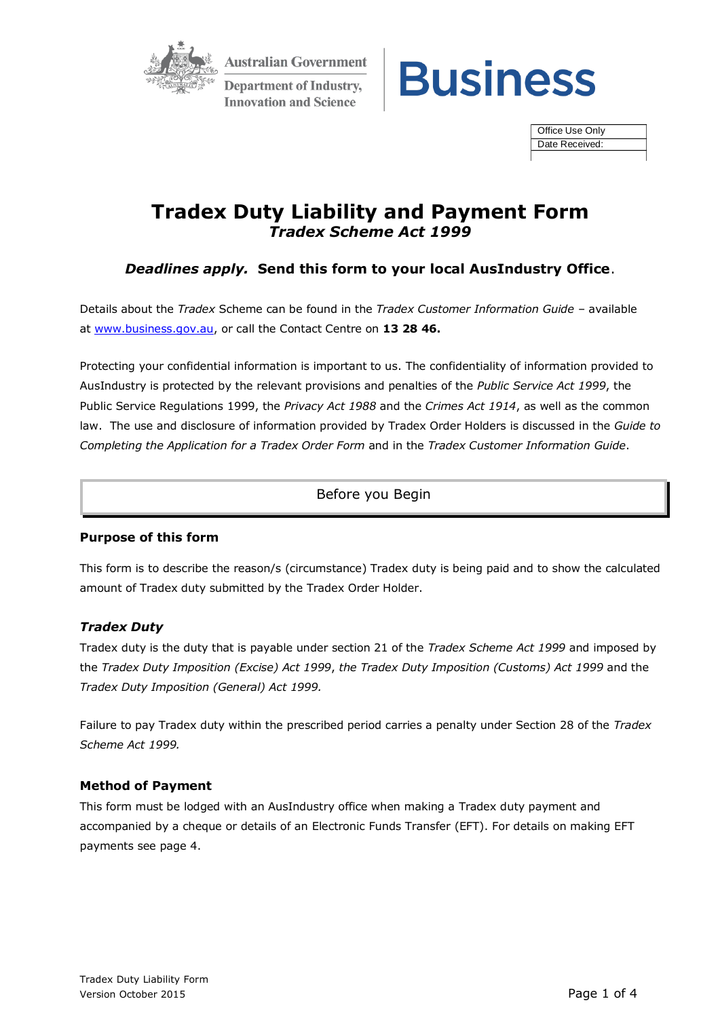

**Australian Government Department of Industry, Innovation and Science** 



Office Use Only Date Received:

# **Tradex Duty Liability and Payment Form** *Tradex Scheme Act 1999*

## *Deadlines apply.* **Send this form to your local AusIndustry Office**.

Details about the *Tradex* Scheme can be found in the *Tradex Customer Information Guide* – available at [www.business.gov.au,](http://www.business.gov.au/) or call the Contact Centre on **13 28 46.**

Protecting your confidential information is important to us. The confidentiality of information provided to AusIndustry is protected by the relevant provisions and penalties of the *Public Service Act 1999*, the Public Service Regulations 1999, the *Privacy Act 1988* and the *Crimes Act 1914*, as well as the common law. The use and disclosure of information provided by Tradex Order Holders is discussed in the *Guide to Completing the Application for a Tradex Order Form* and in the *Tradex Customer Information Guide*.

## Before you Begin

## **Purpose of this form**

This form is to describe the reason/s (circumstance) Tradex duty is being paid and to show the calculated amount of Tradex duty submitted by the Tradex Order Holder.

## *Tradex Duty*

Tradex duty is the duty that is payable under section 21 of the *Tradex Scheme Act 1999* and imposed by the *Tradex Duty Imposition (Excise) Act 1999*, *the Tradex Duty Imposition (Customs) Act 1999* and the *Tradex Duty Imposition (General) Act 1999.*

Failure to pay Tradex duty within the prescribed period carries a penalty under Section 28 of the *Tradex Scheme Act 1999.*

## **Method of Payment**

This form must be lodged with an AusIndustry office when making a Tradex duty payment and accompanied by a cheque or details of an Electronic Funds Transfer (EFT). For details on making EFT payments see page 4.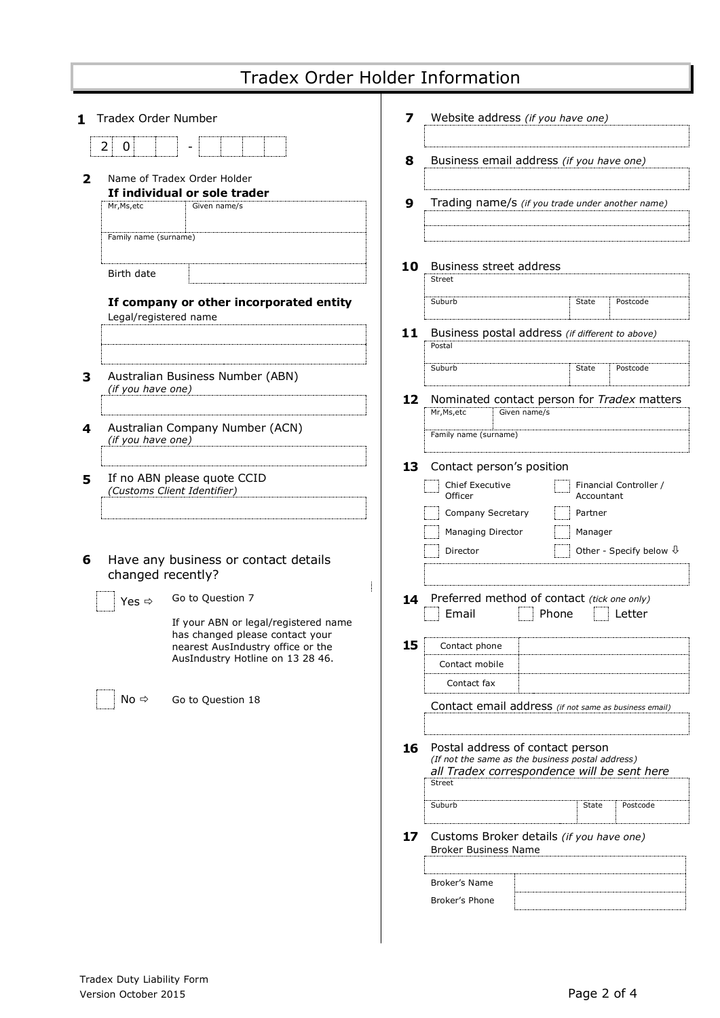| 1 | Tradex Order Number   |                                                                                                                                                                      | 7  | Website address (if you have one)                                                                                                                              |              |                       |                                  |
|---|-----------------------|----------------------------------------------------------------------------------------------------------------------------------------------------------------------|----|----------------------------------------------------------------------------------------------------------------------------------------------------------------|--------------|-----------------------|----------------------------------|
| 2 | 2<br>0                | Name of Tradex Order Holder                                                                                                                                          | 8  | Business email address (if you have one)                                                                                                                       |              |                       |                                  |
|   | Mr, Ms, etc           | If individual or sole trader<br>Given name/s                                                                                                                         | 9  | Trading name/s (if you trade under another name)                                                                                                               |              |                       |                                  |
|   | Family name (surname) |                                                                                                                                                                      |    |                                                                                                                                                                |              |                       |                                  |
|   | Birth date            |                                                                                                                                                                      | 10 | Business street address<br>Street                                                                                                                              |              |                       |                                  |
|   | Legal/registered name | If company or other incorporated entity                                                                                                                              |    | Suburb                                                                                                                                                         |              | State                 | Postcode                         |
|   |                       |                                                                                                                                                                      | 11 | Business postal address (if different to above)<br>Postal                                                                                                      |              |                       |                                  |
| 3 | (if you have one)     | Australian Business Number (ABN)                                                                                                                                     | 12 | Suburb<br>Nominated contact person for Tradex matters                                                                                                          |              | State                 | Postcode                         |
| 4 | (if you have one)     | Australian Company Number (ACN)                                                                                                                                      |    | Mr, Ms, etc<br>Family name (surname)                                                                                                                           | Given name/s |                       |                                  |
| 5 |                       | If no ABN please quote CCID<br>(Customs Client Identifier)                                                                                                           | 13 | Contact person's position<br>Chief Executive<br>Officer<br>Company Secretary                                                                                   |              | Accountant<br>Partner | Financial Controller /           |
| 6 | changed recently?     | Have any business or contact details                                                                                                                                 |    | Managing Director<br>Director                                                                                                                                  |              | Manager               | Other - Specify below $\sqrt{1}$ |
|   | Yes $\Leftrightarrow$ | Go to Question 7<br>If your ABN or legal/registered name<br>has changed please contact your<br>nearest AusIndustry office or the<br>AusIndustry Hotline on 13 28 46. | 15 | 14 Preferred method of contact (tick one only)<br>Email<br>Contact phone<br>Contact mobile                                                                     | Phone        |                       | Letter                           |
|   | No ⇒                  | Go to Question 18                                                                                                                                                    |    | Contact fax<br>Contact email address (if not same as business email)                                                                                           |              |                       |                                  |
|   |                       |                                                                                                                                                                      | 16 | Postal address of contact person<br>(If not the same as the business postal address)<br>all Tradex correspondence will be sent here<br><b>Street</b><br>Suburb |              | State                 | Postcode                         |
|   |                       |                                                                                                                                                                      | 17 | Customs Broker details (if you have one)<br><b>Broker Business Name</b>                                                                                        |              |                       |                                  |
|   |                       |                                                                                                                                                                      |    | Broker's Name<br>Broker's Phone                                                                                                                                |              |                       |                                  |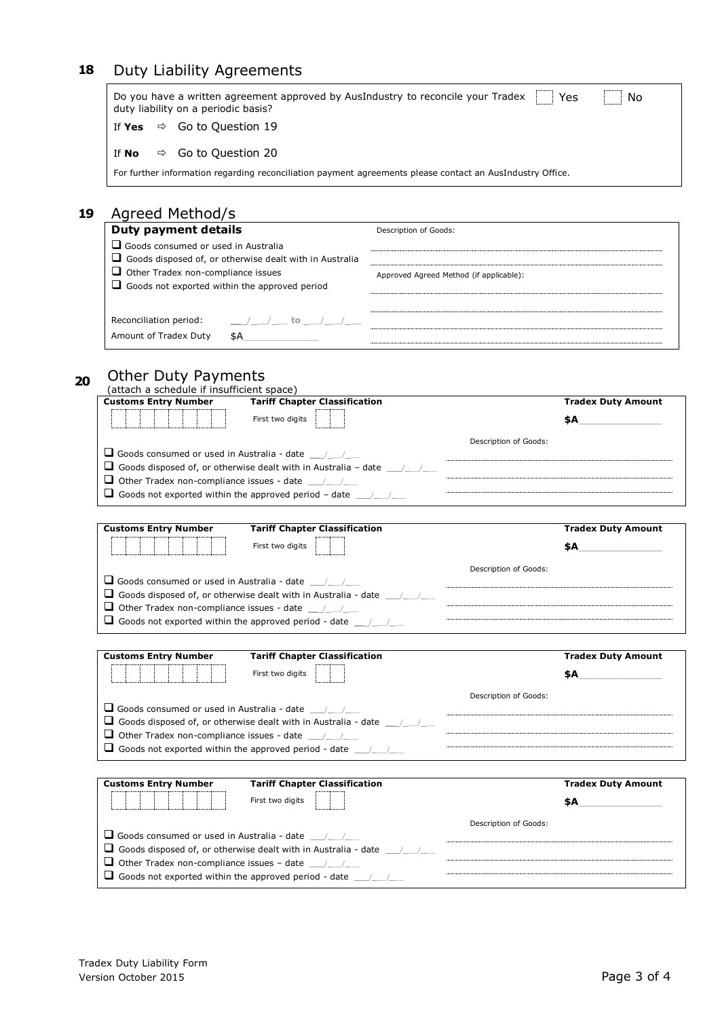# **18** Duty Liability Agreements

|    | Do you have a written agreement approved by AusIndustry to reconcile your Tradex<br>Yes<br>No<br>duty liability on a periodic basis? |                                         |  |  |  |  |
|----|--------------------------------------------------------------------------------------------------------------------------------------|-----------------------------------------|--|--|--|--|
|    | $\Rightarrow$ Go to Question 19<br>If Yes                                                                                            |                                         |  |  |  |  |
|    | Go to Question 20<br>If No<br>⇨                                                                                                      |                                         |  |  |  |  |
|    | For further information regarding reconciliation payment agreements please contact an AusIndustry Office.                            |                                         |  |  |  |  |
| 19 | Agreed Method/s                                                                                                                      |                                         |  |  |  |  |
|    | <b>Duty payment details</b>                                                                                                          | Description of Goods:                   |  |  |  |  |
|    | $\Box$ Goods consumed or used in Australia                                                                                           |                                         |  |  |  |  |
|    | $\Box$ Goods disposed of, or otherwise dealt with in Australia                                                                       |                                         |  |  |  |  |
|    | $\Box$ Other Tradex non-compliance issues<br>Goods not exported within the approved period                                           | Approved Agreed Method (if applicable): |  |  |  |  |
|    |                                                                                                                                      |                                         |  |  |  |  |

# **<sup>20</sup>** Other Duty Payments

Amount of Tradex Duty \$A\_\_\_\_\_\_\_\_\_\_\_\_\_\_

Reconciliation period: \_\_\_\_\_\_/\_\_\_\_/\_\_\_\_ to \_\_\_/\_\_\_/\_\_

| (attach a schedule if insufficient space)                                                                                                                 |                       |                           |
|-----------------------------------------------------------------------------------------------------------------------------------------------------------|-----------------------|---------------------------|
| <b>Tariff Chapter Classification</b><br><b>Customs Entry Number</b>                                                                                       |                       | <b>Tradex Duty Amount</b> |
| First two digits                                                                                                                                          |                       | \$A                       |
|                                                                                                                                                           |                       |                           |
| $\Box$ Goods consumed or used in Australia - date $\Box$                                                                                                  | Description of Goods: |                           |
| <b>Le</b> Goods disposed of, or otherwise dealt with in Australia – date $\frac{1}{2}$                                                                    |                       |                           |
| <b>U</b> Other Tradex non-compliance issues - date $\frac{1}{\sqrt{2}}$                                                                                   |                       |                           |
| <b>Le</b> Goods not exported within the approved period – date $\frac{1}{2}$                                                                              |                       |                           |
|                                                                                                                                                           |                       |                           |
| <b>Customs Entry Number</b><br><b>Tariff Chapter Classification</b>                                                                                       |                       | <b>Tradex Duty Amount</b> |
| First two digits                                                                                                                                          |                       | \$A.                      |
|                                                                                                                                                           |                       |                           |
|                                                                                                                                                           | Description of Goods: |                           |
| $\Box$ Goods consumed or used in Australia - date $\Box$                                                                                                  |                       |                           |
| $\Box$ Goods disposed of, or otherwise dealt with in Australia - date $\Box$                                                                              |                       |                           |
| $\Box$ Other Tradex non-compliance issues - date $\Box$                                                                                                   |                       |                           |
|                                                                                                                                                           |                       |                           |
|                                                                                                                                                           |                       |                           |
|                                                                                                                                                           |                       |                           |
| <b>Customs Entry Number</b><br><b>Tariff Chapter Classification</b>                                                                                       |                       | <b>Tradex Duty Amount</b> |
| First two digits                                                                                                                                          |                       | \$A                       |
|                                                                                                                                                           |                       |                           |
| $\Box$ Goods consumed or used in Australia - date $\Box$                                                                                                  | Description of Goods: |                           |
| $\Box$ Goods disposed of, or otherwise dealt with in Australia - date $\Box$                                                                              |                       |                           |
| $\Box$ Other Tradex non-compliance issues - date $\Box$                                                                                                   |                       |                           |
| <b><math>\Box</math></b> Goods not exported within the approved period - date $\Box$                                                                      |                       |                           |
|                                                                                                                                                           |                       |                           |
| <b>Customs Entry Number</b><br><b>Tariff Chapter Classification</b>                                                                                       |                       | <b>Tradex Duty Amount</b> |
| First two digits                                                                                                                                          |                       | \$A                       |
|                                                                                                                                                           |                       |                           |
|                                                                                                                                                           | Description of Goods: |                           |
| $\Box$ Goods consumed or used in Australia - date $\Box$                                                                                                  |                       |                           |
| $\Box$ Goods disposed of, or otherwise dealt with in Australia - date $\Box$                                                                              |                       |                           |
| <b>O</b> Other Tradex non-compliance issues - date $\frac{1}{\sqrt{1-\frac{1}{2}}}$<br>$\Box$ Goods not exported within the approved period - date $\Box$ |                       |                           |